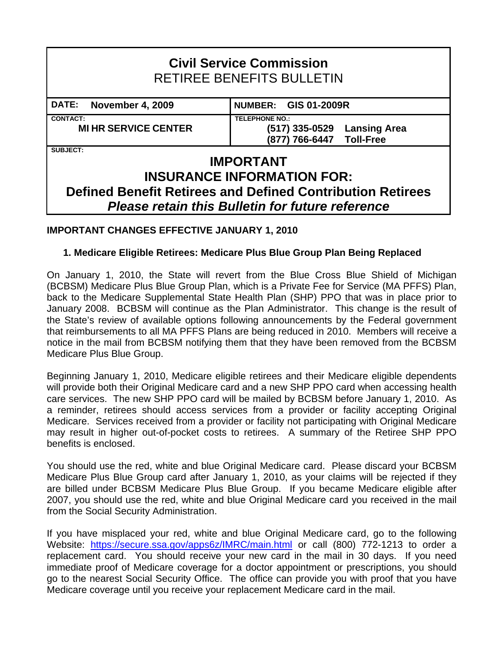# **Civil Service Commission**  RETIREE BENEFITS BULLETIN **DATE: November 4, 2009 NUMBER: GIS 01-2009R CONTACT: TELEPHONE NO.: MI HR SERVICE CENTER (517) 335-0529 Lansing Area (877) 766-6447 Toll-Free SUBJECT: IMPORTANT INSURANCE INFORMATION FOR: Defined Benefit Retirees and Defined Contribution Retirees**  *Please retain this Bulletin for future reference*

# **IMPORTANT CHANGES EFFECTIVE JANUARY 1, 2010**

## **1. Medicare Eligible Retirees: Medicare Plus Blue Group Plan Being Replaced**

On January 1, 2010, the State will revert from the Blue Cross Blue Shield of Michigan (BCBSM) Medicare Plus Blue Group Plan, which is a Private Fee for Service (MA PFFS) Plan, back to the Medicare Supplemental State Health Plan (SHP) PPO that was in place prior to January 2008. BCBSM will continue as the Plan Administrator. This change is the result of the State's review of available options following announcements by the Federal government that reimbursements to all MA PFFS Plans are being reduced in 2010. Members will receive a notice in the mail from BCBSM notifying them that they have been removed from the BCBSM Medicare Plus Blue Group.

Beginning January 1, 2010, Medicare eligible retirees and their Medicare eligible dependents will provide both their Original Medicare card and a new SHP PPO card when accessing health care services. The new SHP PPO card will be mailed by BCBSM before January 1, 2010. As a reminder, retirees should access services from a provider or facility accepting Original Medicare. Services received from a provider or facility not participating with Original Medicare may result in higher out-of-pocket costs to retirees. A summary of the Retiree SHP PPO benefits is enclosed.

You should use the red, white and blue Original Medicare card. Please discard your BCBSM Medicare Plus Blue Group card after January 1, 2010, as your claims will be rejected if they are billed under BCBSM Medicare Plus Blue Group. If you became Medicare eligible after 2007, you should use the red, white and blue Original Medicare card you received in the mail from the Social Security Administration.

If you have misplaced your red, white and blue Original Medicare card, go to the following Website: <https://secure.ssa.gov/apps6z/IMRC/main.html> or call (800) 772-1213 to order a replacement card. You should receive your new card in the mail in 30 days. If you need immediate proof of Medicare coverage for a doctor appointment or prescriptions, you should go to the nearest Social Security Office. The office can provide you with proof that you have Medicare coverage until you receive your replacement Medicare card in the mail.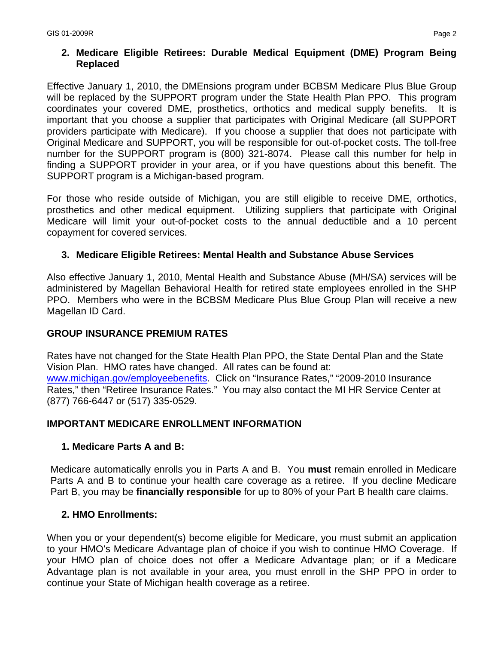# **2. Medicare Eligible Retirees: Durable Medical Equipment (DME) Program Being Replaced**

Effective January 1, 2010, the DMEnsions program under BCBSM Medicare Plus Blue Group will be replaced by the SUPPORT program under the State Health Plan PPO. This program coordinates your covered DME, prosthetics, orthotics and medical supply benefits. It is important that you choose a supplier that participates with Original Medicare (all SUPPORT providers participate with Medicare). If you choose a supplier that does not participate with Original Medicare and SUPPORT, you will be responsible for out-of-pocket costs. The toll-free number for the SUPPORT program is (800) 321-8074. Please call this number for help in finding a SUPPORT provider in your area, or if you have questions about this benefit. The SUPPORT program is a Michigan-based program.

For those who reside outside of Michigan, you are still eligible to receive DME, orthotics, prosthetics and other medical equipment. Utilizing suppliers that participate with Original Medicare will limit your out-of-pocket costs to the annual deductible and a 10 percent copayment for covered services.

# **3. Medicare Eligible Retirees: Mental Health and Substance Abuse Services**

Also effective January 1, 2010, Mental Health and Substance Abuse (MH/SA) services will be administered by Magellan Behavioral Health for retired state employees enrolled in the SHP PPO. Members who were in the BCBSM Medicare Plus Blue Group Plan will receive a new Magellan ID Card.

## **GROUP INSURANCE PREMIUM RATES**

Rates have not changed for the State Health Plan PPO, the State Dental Plan and the State Vision Plan. HMO rates have changed. All rates can be found at: [www.michigan.gov/employeebenefits](http://www.michigan.gov/employeebenefits). Click on "Insurance Rates," "2009-2010 Insurance Rates," then "Retiree Insurance Rates." You may also contact the MI HR Service Center at (877) 766-6447 or (517) 335-0529.

## **IMPORTANT MEDICARE ENROLLMENT INFORMATION**

## **1. Medicare Parts A and B:**

Medicare automatically enrolls you in Parts A and B. You **must** remain enrolled in Medicare Parts A and B to continue your health care coverage as a retiree. If you decline Medicare Part B, you may be **financially responsible** for up to 80% of your Part B health care claims.

## **2. HMO Enrollments:**

When you or your dependent(s) become eligible for Medicare, you must submit an application to your HMO's Medicare Advantage plan of choice if you wish to continue HMO Coverage. If your HMO plan of choice does not offer a Medicare Advantage plan; or if a Medicare Advantage plan is not available in your area, you must enroll in the SHP PPO in order to continue your State of Michigan health coverage as a retiree.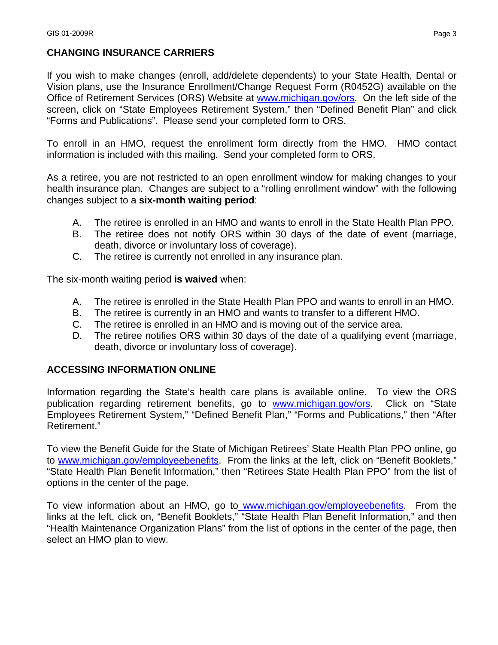# **CHANGING INSURANCE CARRIERS**

If you wish to make changes (enroll, add/delete dependents) to your State Health, Dental or Vision plans, use the Insurance Enrollment/Change Request Form (R0452G) available on the Office of Retirement Services (ORS) Website at www.michigan.gov/ors. On the left side of the screen, click on "State Employees Retirement System," then "Defined Benefit Plan" and click "Forms and Publications". Please send your completed form to ORS.

To enroll in an HMO, request the enrollment form directly from the HMO. HMO contact information is included with this mailing. Send your completed form to ORS.

As a retiree, you are not restricted to an open enrollment window for making changes to your health insurance plan. Changes are subject to a "rolling enrollment window" with the following changes subject to a **six-month waiting period**:

- A. The retiree is enrolled in an HMO and wants to enroll in the State Health Plan PPO.
- B. The retiree does not notify ORS within 30 days of the date of event (marriage, death, divorce or involuntary loss of coverage).
- C. The retiree is currently not enrolled in any insurance plan.

The six-month waiting period **is waived** when:

- A. The retiree is enrolled in the State Health Plan PPO and wants to enroll in an HMO.
- B. The retiree is currently in an HMO and wants to transfer to a different HMO.
- C. The retiree is enrolled in an HMO and is moving out of the service area.
- D. The retiree notifies ORS within 30 days of the date of a qualifying event (marriage, death, divorce or involuntary loss of coverage).

## **ACCESSING INFORMATION ONLINE**

Information regarding the State's health care plans is available online. To view the ORS publication regarding retirement benefits, go to [www.michigan.gov/ors](http://www.michigan.gov/ors). Click on "State Employees Retirement System," "Defined Benefit Plan," "Forms and Publications," then "After Retirement."

To view the Benefit Guide for the State of Michigan Retirees' State Health Plan PPO online, go to [www.michigan.gov/employeebenefits.](http://www.michigan.gov/employeebenefits) From the links at the left, click on "Benefit Booklets," "State Health Plan Benefit Information," then "Retirees State Health Plan PPO" from the list of options in the center of the page.

To view information about an HMO, go to [www.michigan.gov/employeebenefits](http://www.michigan.gov/employeebenefits). From the links at the left, click on, "Benefit Booklets," "State Health Plan Benefit Information," and then "Health Maintenance Organization Plans" from the list of options in the center of the page, then select an HMO plan to view.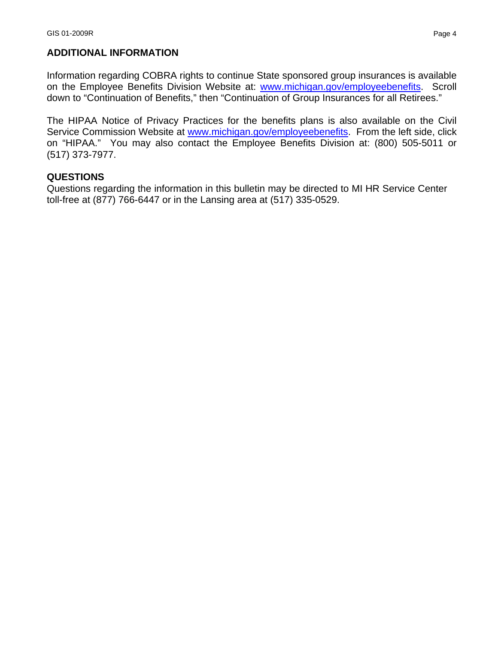#### **ADDITIONAL INFORMATION**

Information regarding COBRA rights to continue State sponsored group insurances is available on the Employee Benefits Division Website at: [www.michigan.gov/employeebenefits.](http://www.michigan.gov/employeebenefits) Scroll down to "Continuation of Benefits," then "Continuation of Group Insurances for all Retirees."

The HIPAA Notice of Privacy Practices for the benefits plans is also available on the Civil Service Commission Website at [www.michigan.gov/employeebenefits](http://www.michigan.gov/employeebenefits). From the left side, click on "HIPAA." You may also contact the Employee Benefits Division at: (800) 505-5011 or (517) 373-7977.

#### **QUESTIONS**

Questions regarding the information in this bulletin may be directed to MI HR Service Center toll-free at (877) 766-6447 or in the Lansing area at (517) 335-0529.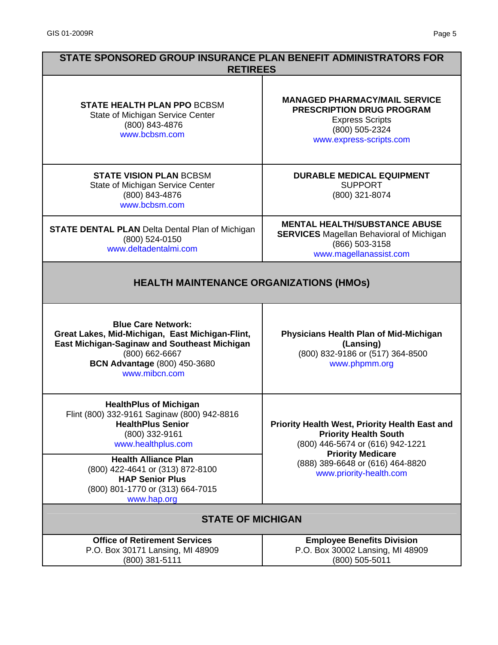| STATE SPONSORED GROUP INSURANCE PLAN BENEFIT ADMINISTRATORS FOR<br><b>RETIREES</b>                                                                                                                            |                                                                                                                                                 |
|---------------------------------------------------------------------------------------------------------------------------------------------------------------------------------------------------------------|-------------------------------------------------------------------------------------------------------------------------------------------------|
| <b>STATE HEALTH PLAN PPO BCBSM</b><br>State of Michigan Service Center<br>(800) 843-4876<br>www.bcbsm.com                                                                                                     | <b>MANAGED PHARMACY/MAIL SERVICE</b><br><b>PRESCRIPTION DRUG PROGRAM</b><br><b>Express Scripts</b><br>(800) 505-2324<br>www.express-scripts.com |
| <b>STATE VISION PLAN BCBSM</b><br>State of Michigan Service Center<br>(800) 843-4876<br>www.bcbsm.com                                                                                                         | <b>DURABLE MEDICAL EQUIPMENT</b><br><b>SUPPORT</b><br>(800) 321-8074                                                                            |
| <b>STATE DENTAL PLAN</b> Delta Dental Plan of Michigan<br>(800) 524-0150<br>www.deltadentalmi.com                                                                                                             | <b>MENTAL HEALTH/SUBSTANCE ABUSE</b><br><b>SERVICES</b> Magellan Behavioral of Michigan<br>(866) 503-3158<br>www.magellanassist.com             |
| <b>HEALTH MAINTENANCE ORGANIZATIONS (HMOS)</b>                                                                                                                                                                |                                                                                                                                                 |
| <b>Blue Care Network:</b><br>Great Lakes, Mid-Michigan, East Michigan-Flint,<br><b>East Michigan-Saginaw and Southeast Michigan</b><br>(800) 662-6667<br><b>BCN Advantage (800) 450-3680</b><br>www.mibcn.com | Physicians Health Plan of Mid-Michigan<br>(Lansing)<br>(800) 832-9186 or (517) 364-8500<br>www.phpmm.org                                        |
| <b>HealthPlus of Michigan</b><br>Flint (800) 332-9161 Saginaw (800) 942-8816<br><b>HealthPlus Senior</b><br>(800) 332-9161<br>www.healthplus.com                                                              | <b>Priority Health West, Priority Health East and</b><br><b>Priority Health South</b><br>(800) 446-5674 or (616) 942-1221                       |
| <b>Health Alliance Plan</b><br>(800) 422-4641 or (313) 872-8100<br><b>HAP Senior Plus</b><br>(800) 801-1770 or (313) 664-7015<br>www.hap.org                                                                  | <b>Priority Medicare</b><br>(888) 389-6648 or (616) 464-8820<br>www.priority-health.com                                                         |
| <b>STATE OF MICHIGAN</b>                                                                                                                                                                                      |                                                                                                                                                 |
| <b>Office of Retirement Services</b><br>P.O. Box 30171 Lansing, MI 48909<br>(800) 381-5111                                                                                                                    | <b>Employee Benefits Division</b><br>P.O. Box 30002 Lansing, MI 48909<br>$(800)$ 505-5011                                                       |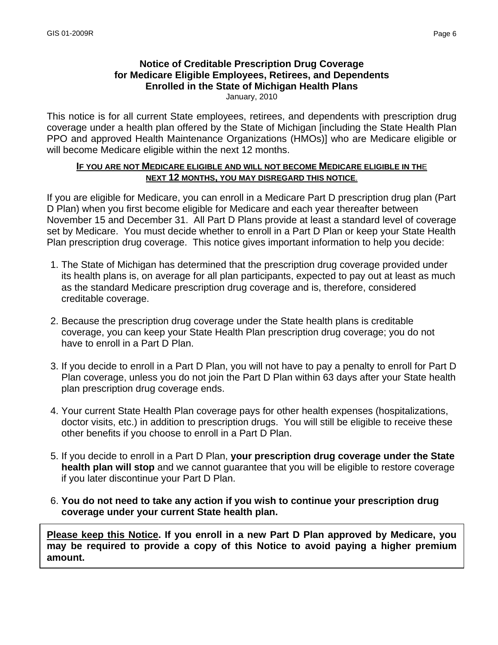# **Notice of Creditable Prescription Drug Coverage for Medicare Eligible Employees, Retirees, and Dependents Enrolled in the State of Michigan Health Plans**

January, 2010

This notice is for all current State employees, retirees, and dependents with prescription drug coverage under a health plan offered by the State of Michigan [including the State Health Plan PPO and approved Health Maintenance Organizations (HMOs)] who are Medicare eligible or will become Medicare eligible within the next 12 months.

#### **IF YOU ARE NOT MEDICARE ELIGIBLE AND WILL NOT BECOME MEDICARE ELIGIBLE IN TH**E **NEXT 12 MONTHS, YOU MAY DISREGARD THIS NOTICE**.

If you are eligible for Medicare, you can enroll in a Medicare Part D prescription drug plan (Part D Plan) when you first become eligible for Medicare and each year thereafter between November 15 and December 31. All Part D Plans provide at least a standard level of coverage set by Medicare. You must decide whether to enroll in a Part D Plan or keep your State Health Plan prescription drug coverage. This notice gives important information to help you decide:

- 1. The State of Michigan has determined that the prescription drug coverage provided under its health plans is, on average for all plan participants, expected to pay out at least as much as the standard Medicare prescription drug coverage and is, therefore, considered creditable coverage.
- 2. Because the prescription drug coverage under the State health plans is creditable coverage, you can keep your State Health Plan prescription drug coverage; you do not have to enroll in a Part D Plan.
- 3. If you decide to enroll in a Part D Plan, you will not have to pay a penalty to enroll for Part D Plan coverage, unless you do not join the Part D Plan within 63 days after your State health plan prescription drug coverage ends.
- 4. Your current State Health Plan coverage pays for other health expenses (hospitalizations, doctor visits, etc.) in addition to prescription drugs. You will still be eligible to receive these other benefits if you choose to enroll in a Part D Plan.
- 5. If you decide to enroll in a Part D Plan, **your prescription drug coverage under the State health plan will stop** and we cannot guarantee that you will be eligible to restore coverage if you later discontinue your Part D Plan.
- 6. **You do not need to take any action if you wish to continue your prescription drug coverage under your current State health plan.**

**Please keep this Notice. If you enroll in a new Part D Plan approved by Medicare, you may be required to provide a copy of this Notice to avoid paying a higher premium amount.**